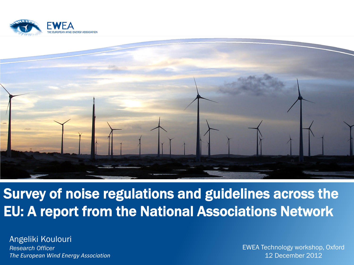



#### Survey of noise regulations and guidelines across the EU: A report from the National Associations Network

Angeliki Koulouri *Research Officer The European Wind Energy Association*

EWEA Technology workshop, Oxford 12 December 2012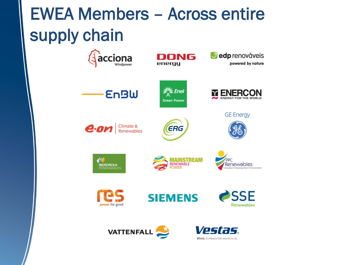# EWEA Members – Across entire supply chain

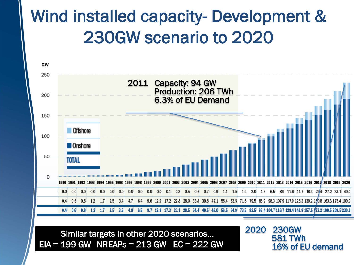# Wind installed capacity- Development & 230GW scenario to 2020



Similar targets in other 2020 scenarios… EIA = 199 GW NREAPs = 213 GW EC = 222 GW 2020 230GW 581 TWh 16% of EU demand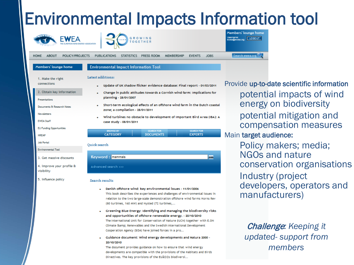# Environmental Impacts Information tool



- . Danish offshore wind: key environmental issues 11/01/2006 This book describes the experiences and challenges of environmental issues in relation to the two large-scale demonstration offshore wind farms Horns Rev (80 turbines, 160 MW) and Nysted (72 turbines,...
- Greening Blue Energy: Identifying and managing the biodiversity risks and opportunities of offshore renewable energy. - 20/10/2010 The International Unit for Conservation of Nature (IUCN) together with E.ON Climate & Renewables and the Swedish International Development Cooperation Agency (SIDA) have joined forces in a pro...
- Guidance document: Wind energy developments and Natura 2000 -20/10/2010

The document provides guidance on how to ensure that wind energy developments are compatible with the provisions of the Habitats and Birds Directives. The key provisions of the EUâODs biodiversi...

Provide up-to-date scientific information potential impacts of wind energy on biodiversity potential mitigation and compensation measures Main target audience:

> Policy makers; media; NGOs and nature conservation organisations Industry (project developers, operators and manufacturers)

Challenge*: Keeping it updated- support from members*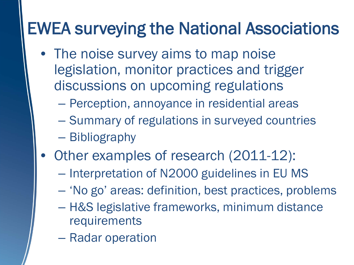# EWEA surveying the National Associations

- The noise survey aims to map noise legislation, monitor practices and trigger discussions on upcoming regulations
	- Perception, annoyance in residential areas
	- Summary of regulations in surveyed countries
	- Bibliography
- Other examples of research (2011-12):
	- Interpretation of N2000 guidelines in EU MS
	- 'No go' areas: definition, best practices, problems
	- H&S legislative frameworks, minimum distance requirements
	- Radar operation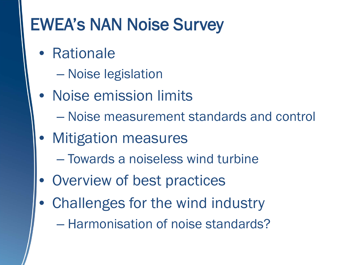# EWEA's NAN Noise Survey

- Rationale
	- Noise legislation
- Noise emission limits
	- Noise measurement standards and control
- Mitigation measures
	- Towards a noiseless wind turbine
- Overview of best practices
- Challenges for the wind industry
	- Harmonisation of noise standards?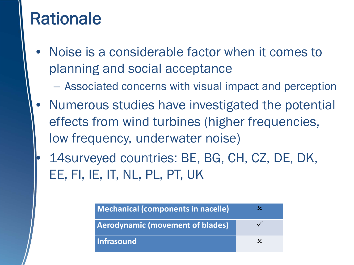#### Rationale

- Noise is a considerable factor when it comes to planning and social acceptance
	- Associated concerns with visual impact and perception
- Numerous studies have investigated the potential effects from wind turbines (higher frequencies, low frequency, underwater noise)
- 14surveyed countries: BE, BG, CH, CZ, DE, DK, EE, FI, IE, IT, NL, PL, PT, UK

| Mechanical (components in nacelle)      |  |
|-----------------------------------------|--|
| <b>Aerodynamic (movement of blades)</b> |  |
| Infrasound                              |  |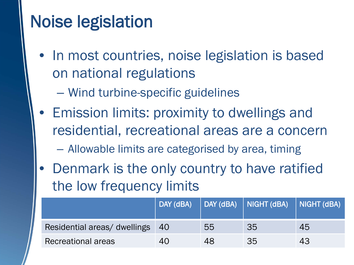# Noise legislation

- In most countries, noise legislation is based on national regulations
	- Wind turbine-specific guidelines
- Emission limits: proximity to dwellings and residential, recreational areas are a concern
	- Allowable limits are categorised by area, timing
- Denmark is the only country to have ratified the low frequency limits

|                              | DAY (dBA) |    | DAY (dBA)     NIGHT (dBA)     NIGHT (dBA)' |    |
|------------------------------|-----------|----|--------------------------------------------|----|
| Residential areas/ dwellings | -40       | 55 | 35                                         | 45 |
| Recreational areas           | 40        | 48 | 35                                         | 43 |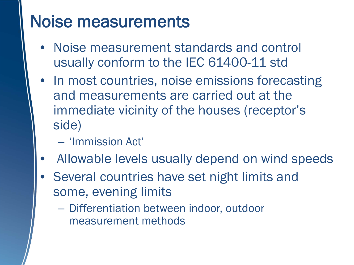### Noise measurements

- Noise measurement standards and control usually conform to the IEC 61400-11 std
- In most countries, noise emissions forecasting and measurements are carried out at the immediate vicinity of the houses (receptor's side)
	- 'Immission Act'
- Allowable levels usually depend on wind speeds
- Several countries have set night limits and some, evening limits
	- Differentiation between indoor, outdoor measurement methods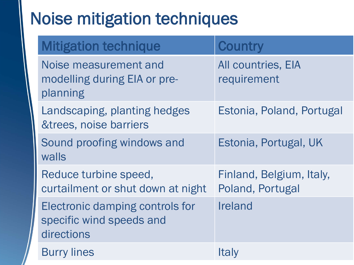# Noise mitigation techniques

| <b>Mitigation technique</b>                                               | <b>Country</b>                               |
|---------------------------------------------------------------------------|----------------------------------------------|
| Noise measurement and<br>modelling during EIA or pre-<br>planning         | <b>All countries, EIA</b><br>requirement     |
| Landscaping, planting hedges<br>&trees, noise barriers                    | Estonia, Poland, Portugal                    |
| Sound proofing windows and<br>walls                                       | Estonia, Portugal, UK                        |
| Reduce turbine speed,<br>curtailment or shut down at night                | Finland, Belgium, Italy,<br>Poland, Portugal |
| Electronic damping controls for<br>specific wind speeds and<br>directions | Ireland                                      |
| <b>Burry lines</b>                                                        | Italy                                        |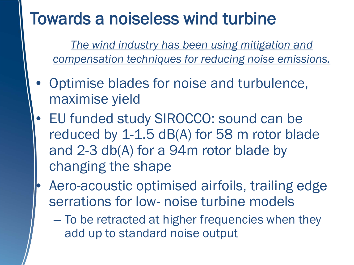# Towards a noiseless wind turbine

*The wind industry has been using mitigation and compensation techniques for reducing noise emissions.* 

- Optimise blades for noise and turbulence, maximise yield
- EU funded study SIROCCO: sound can be reduced by 1-1.5 dB(A) for 58 m rotor blade and 2-3 db(A) for a 94m rotor blade by changing the shape
- Aero-acoustic optimised airfoils, trailing edge serrations for low- noise turbine models
	- To be retracted at higher frequencies when they add up to standard noise output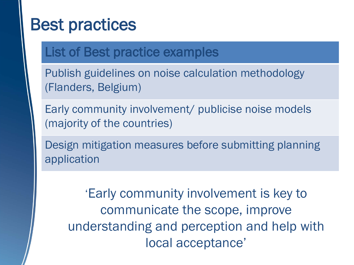## Best practices

#### List of Best practice examples

Publish guidelines on noise calculation methodology (Flanders, Belgium)

Early community involvement/ publicise noise models (majority of the countries)

Design mitigation measures before submitting planning application

'Early community involvement is key to communicate the scope, improve understanding and perception and help with local acceptance'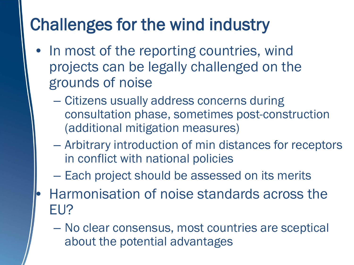# Challenges for the wind industry

- In most of the reporting countries, wind projects can be legally challenged on the grounds of noise
	- Citizens usually address concerns during consultation phase, sometimes post-construction (additional mitigation measures)
	- Arbitrary introduction of min distances for receptors in conflict with national policies
	- Each project should be assessed on its merits
	- Harmonisation of noise standards across the EU?
		- No clear consensus, most countries are sceptical about the potential advantages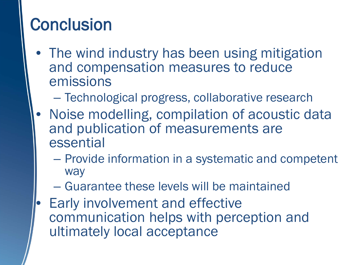# **Conclusion**

- The wind industry has been using mitigation and compensation measures to reduce emissions
	- Technological progress, collaborative research
- Noise modelling, compilation of acoustic data and publication of measurements are essential
	- Provide information in a systematic and competent way
	- Guarantee these levels will be maintained
- Early involvement and effective communication helps with perception and ultimately local acceptance